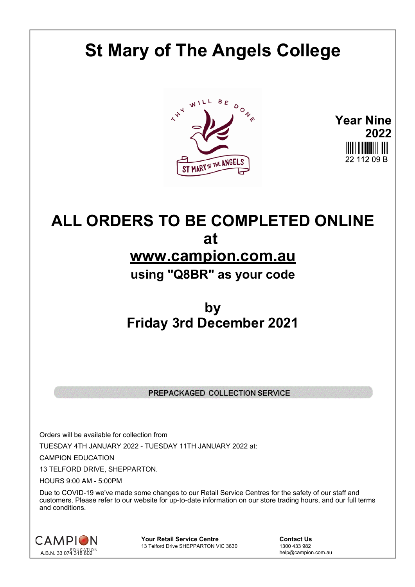## **St Mary of The Angels College**





## **ALL ORDERS TO BE COMPLETED ONLINE at www.campion.com.au using "Q8BR" as your code**

## **by Friday 3rd December 2021**

## PREPACKAGED COLLECTION SERVICE

Orders will be available for collection from TUESDAY 4TH JANUARY 2022 - TUESDAY 11TH JANUARY 2022 at:

CAMPION EDUCATION

13 TELFORD DRIVE, SHEPPARTON.

HOURS 9:00 AM - 5:00PM

Due to COVID-19 we've made some changes to our Retail Service Centres for the safety of our staff and customers. Please refer to our website for up-to-date information on our store trading hours, and our full terms and conditions.



**Your Retail Service Centre Contact Us**<br>
13 Telford Drive SHEPPARTON VIC 3630
<br>
1300 433 982 13 Telford Drive SHEPPARTON VIC 3630

help@campion.com.au